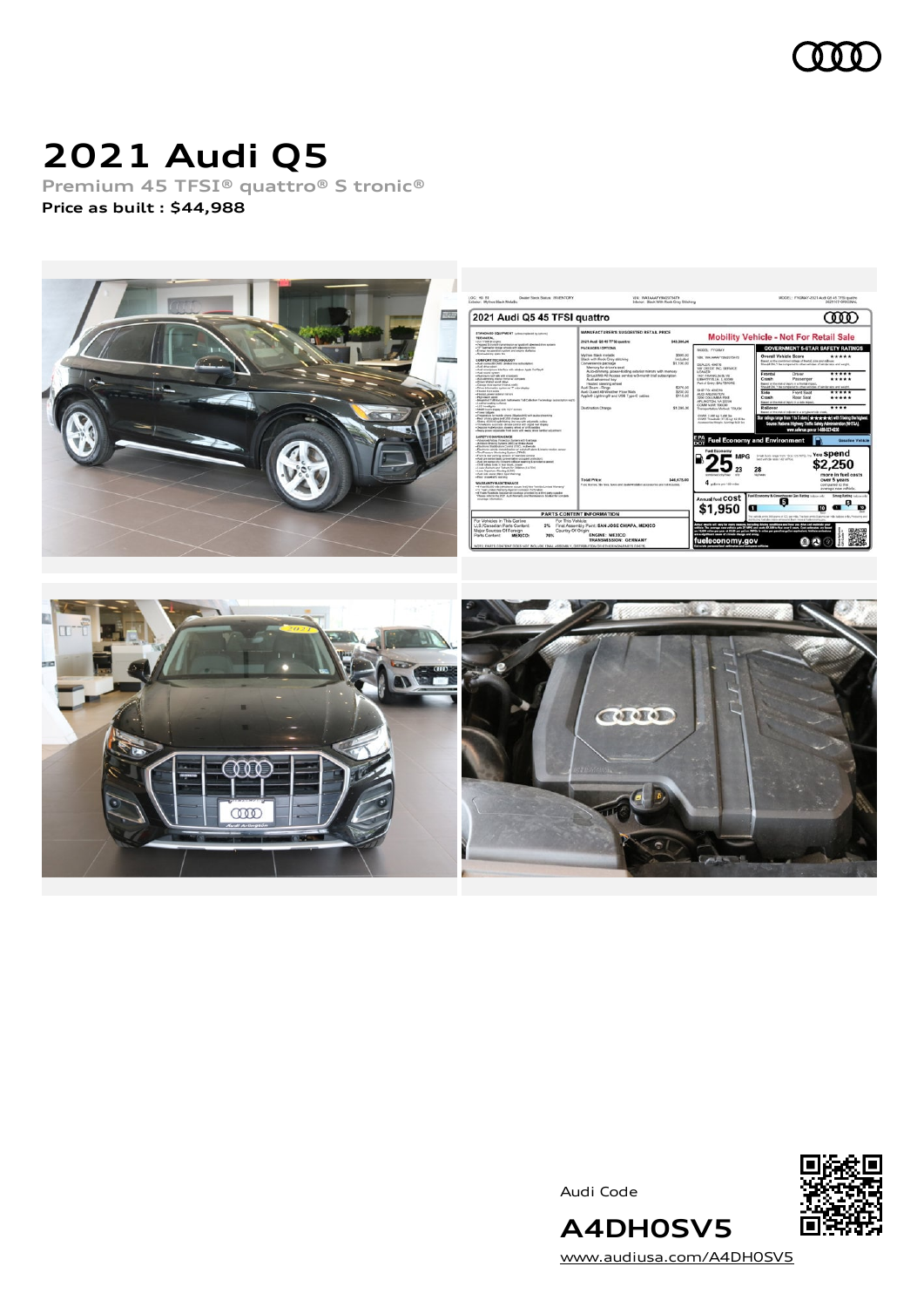

# **2021 Audi Q5**

**Premium 45 TFSI® quattro® S tronic® Price as built [:](#page-10-0) \$44,988**





Audi Code



[www.audiusa.com/A4DH0SV5](https://www.audiusa.com/A4DH0SV5)

**A4DH0SV5**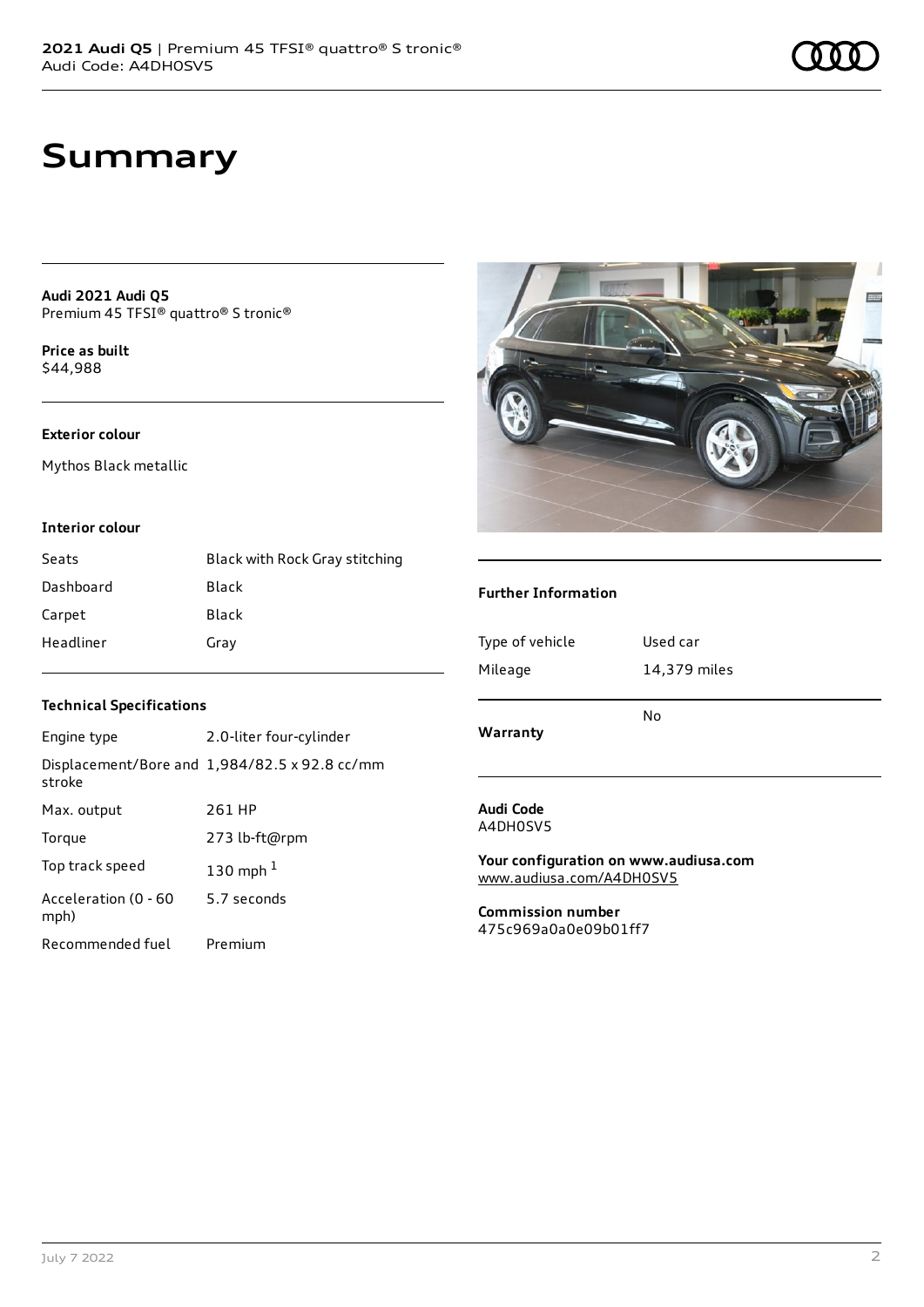## **Summary**

**Audi 2021 Audi Q5** Premium 45 TFSI® quattro® S tronic®

**Price as buil[t](#page-10-0)** \$44,988

#### **Exterior colour**

Mythos Black metallic

#### **Interior colour**

| Seats     | Black with Rock Gray stitching |
|-----------|--------------------------------|
| Dashboard | Black                          |
| Carpet    | Black                          |
| Headliner | Gray                           |

#### **Technical Specifications**

| Engine type                  | 2.0-liter four-cylinder                       |
|------------------------------|-----------------------------------------------|
| stroke                       | Displacement/Bore and 1,984/82.5 x 92.8 cc/mm |
| Max. output                  | 261 HP                                        |
| Torque                       | 273 lb-ft@rpm                                 |
| Top track speed              | 130 mph $1$                                   |
| Acceleration (0 - 60<br>mph) | 5.7 seconds                                   |
| Recommended fuel             | Premium                                       |



#### **Further Information**

| Type of vehicle<br>Mileage | Used car<br>14,379 miles |
|----------------------------|--------------------------|
| Warranty                   | No                       |
| Audi Code                  |                          |

A4DH0SV5

**Your configuration on www.audiusa.com** [www.audiusa.com/A4DH0SV5](https://www.audiusa.com/A4DH0SV5)

**Commission number** 475c969a0a0e09b01ff7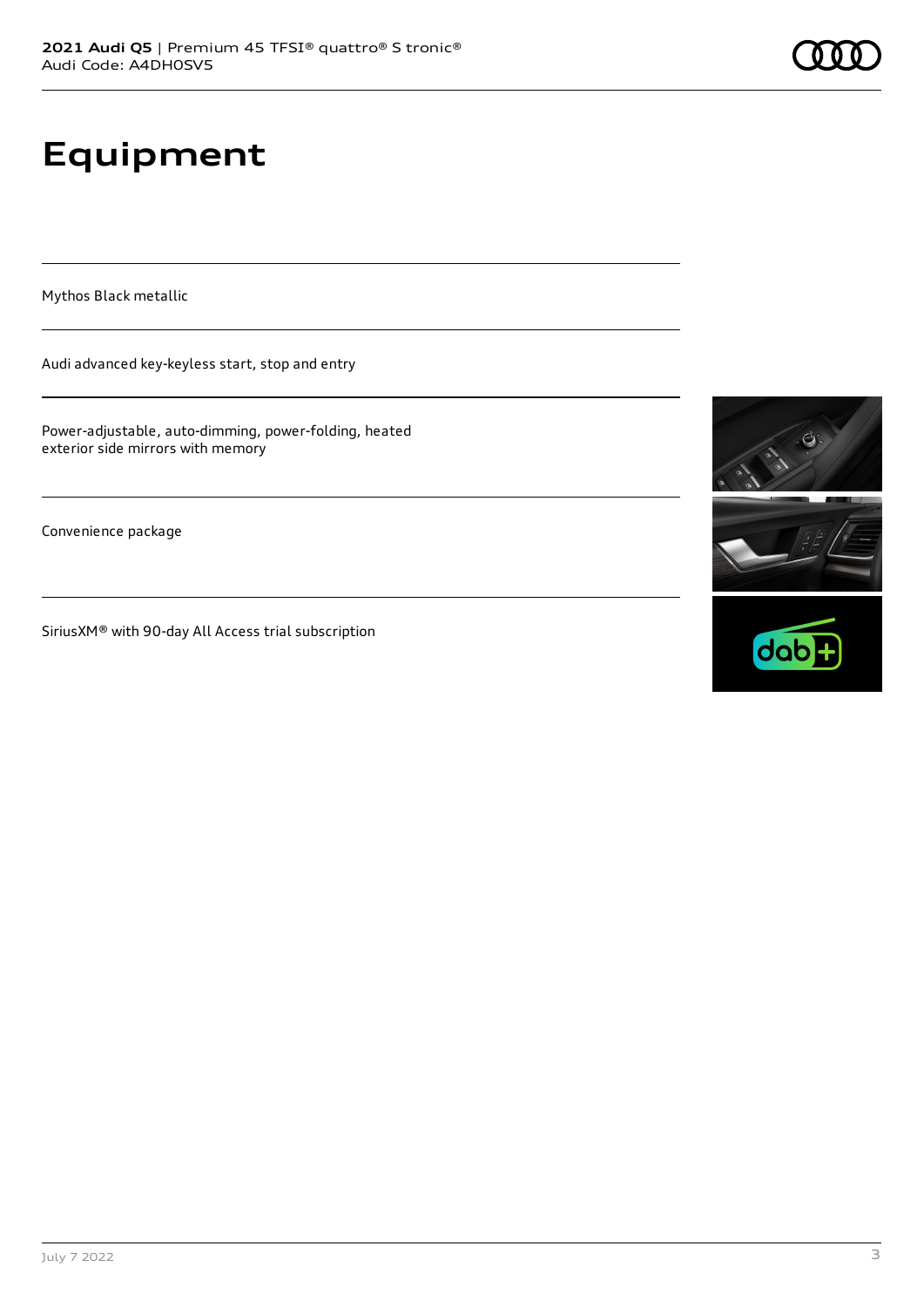# **Equipment**

Mythos Black metallic

Audi advanced key-keyless start, stop and entry

Power-adjustable, auto-dimming, power-folding, heated exterior side mirrors with memory

Convenience package

SiriusXM® with 90-day All Access trial subscription



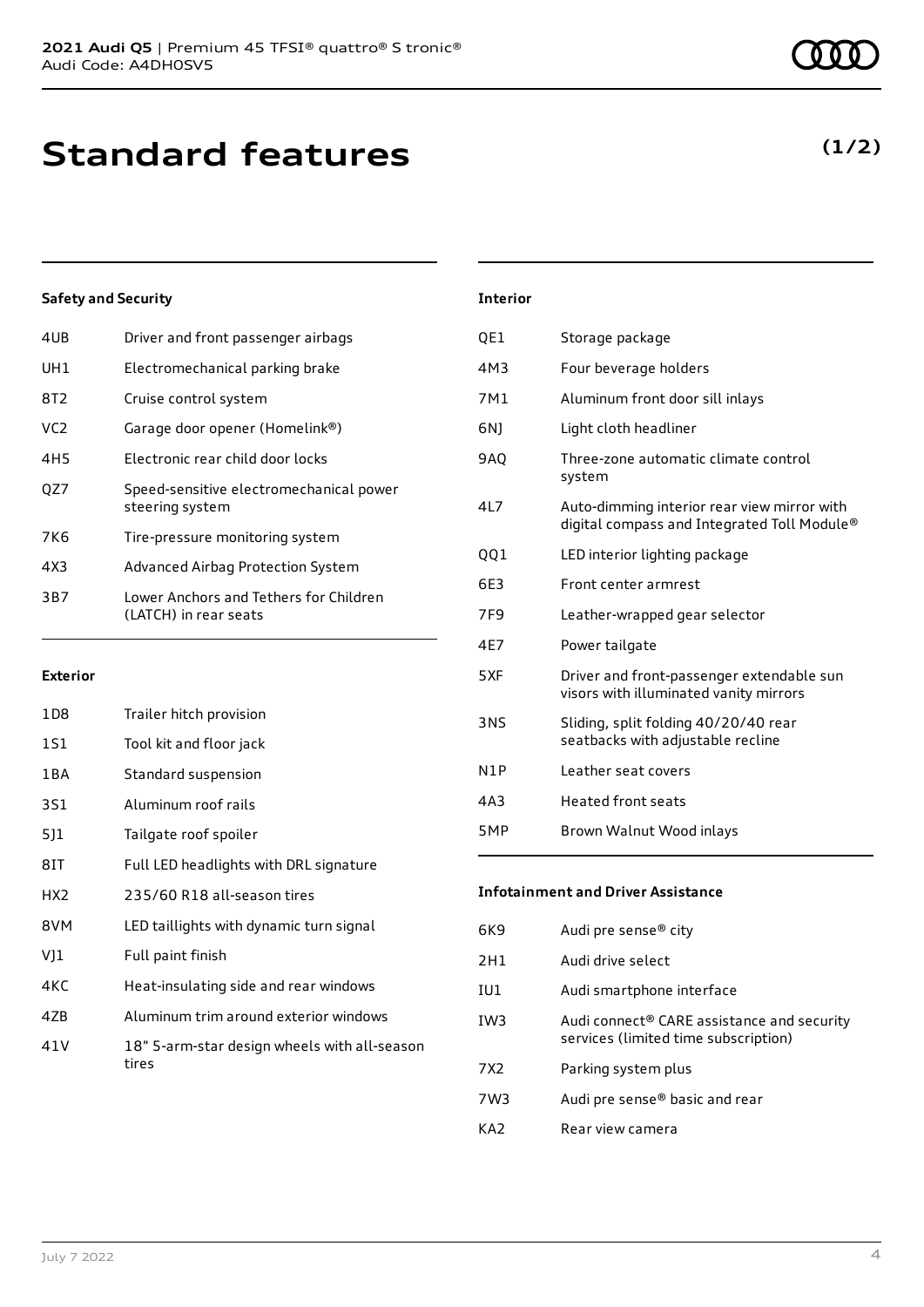| 4UB             | Driver and front passenger airbags                              |
|-----------------|-----------------------------------------------------------------|
| UH1             | Electromechanical parking brake                                 |
| 8T2             | Cruise control system                                           |
| VC <sub>2</sub> | Garage door opener (Homelink®)                                  |
| 4H <sub>5</sub> | Electronic rear child door locks                                |
| OZ7             | Speed-sensitive electromechanical power<br>steering system      |
| 7K6             | Tire-pressure monitoring system                                 |
| 4X3             | Advanced Airbag Protection System                               |
| 3B7             | Lower Anchors and Tethers for Children<br>(LATCH) in rear seats |
|                 |                                                                 |

#### **Exterior**

| 1D8             | Trailer hitch provision                               |
|-----------------|-------------------------------------------------------|
| 1S1             | Tool kit and floor jack                               |
| 1 B A           | Standard suspension                                   |
| 3S1             | Aluminum roof rails                                   |
| 511             | Tailgate roof spoiler                                 |
| 8IT             | Full LED headlights with DRL signature                |
| HX <sub>2</sub> | 235/60 R18 all-season tires                           |
| 8VM             | LED taillights with dynamic turn signal               |
| VJ1             | Full paint finish                                     |
| 4KC             | Heat-insulating side and rear windows                 |
| 47B             | Aluminum trim around exterior windows                 |
| 41 V            | 18" 5-arm-star design wheels with all-season<br>tires |

### **Interior**

| QE1             | Storage package                                                                            |
|-----------------|--------------------------------------------------------------------------------------------|
| 4M3             | Four beverage holders                                                                      |
| 7M1             | Aluminum front door sill inlays                                                            |
| 6N)             | Light cloth headliner                                                                      |
| <b>9AQ</b>      | Three-zone automatic climate control<br>system                                             |
| 4L7             | Auto-dimming interior rear view mirror with<br>digital compass and Integrated Toll Module® |
| QQ1             | LED interior lighting package                                                              |
| 6E3             | Front center armrest                                                                       |
| 7F <sub>9</sub> | Leather-wrapped gear selector                                                              |
| 4E7             | Power tailgate                                                                             |
| 5XF             | Driver and front-passenger extendable sun<br>visors with illuminated vanity mirrors        |
| 3NS             | Sliding, split folding 40/20/40 rear<br>seatbacks with adjustable recline                  |
| N1P             | Leather seat covers                                                                        |
| 4A3             | <b>Heated front seats</b>                                                                  |
| 5MP             | Brown Walnut Wood inlays                                                                   |

#### **Infotainment and Driver Assistance**

| 6K9             | Audi pre sense® city                                                               |
|-----------------|------------------------------------------------------------------------------------|
| 2H1             | Audi drive select                                                                  |
| IU1             | Audi smartphone interface                                                          |
| IW3             | Audi connect® CARE assistance and security<br>services (limited time subscription) |
| 7X <sub>2</sub> | Parking system plus                                                                |
| 7W3             | Audi pre sense® basic and rear                                                     |
| KA7             | Rear view camera                                                                   |

### **(1/2)**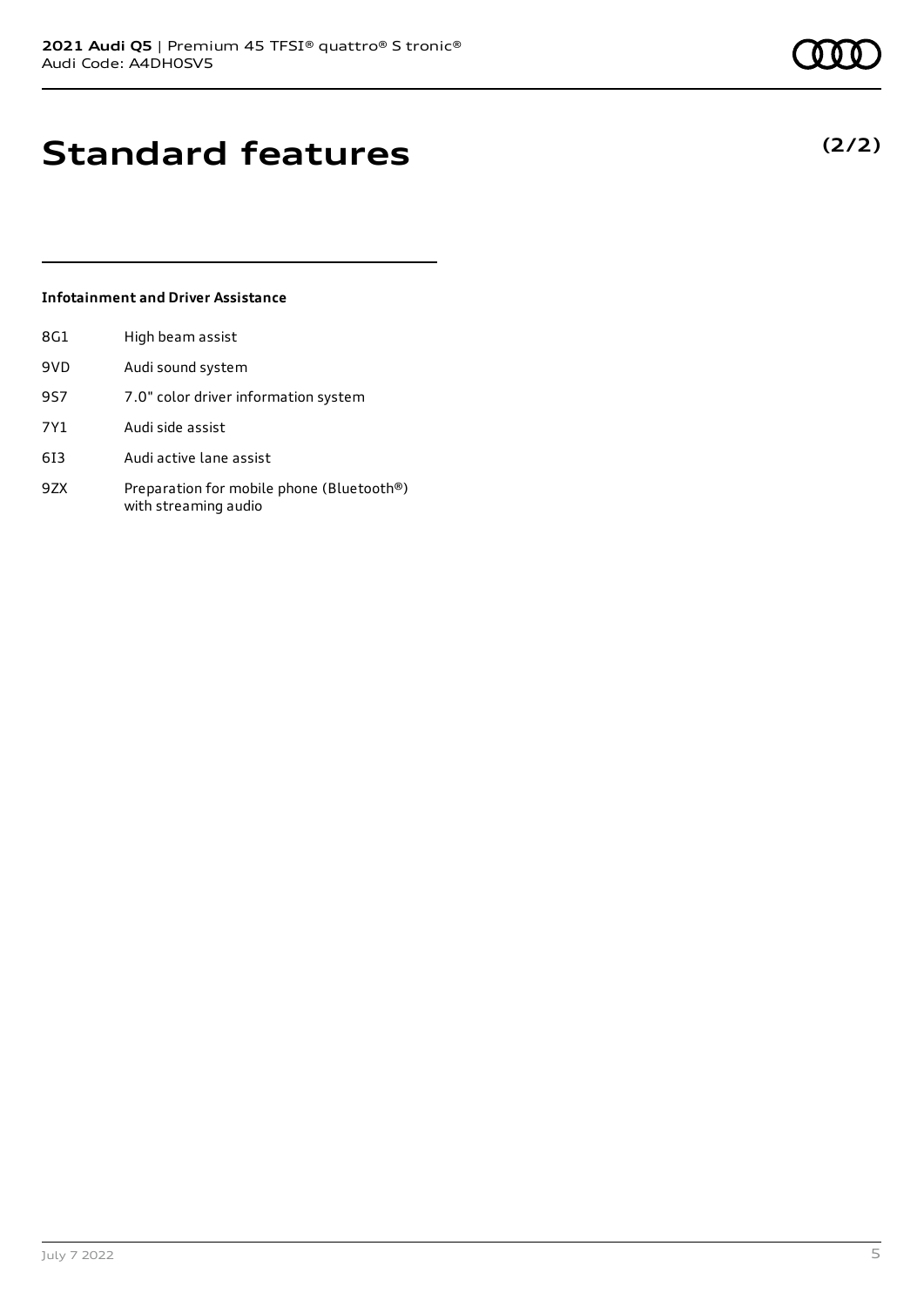### July 7 2022 5

# **Standard features**

### **Infotainment and Driver Assistance**

| 8G1 | High beam assist                                                  |
|-----|-------------------------------------------------------------------|
| 9VD | Audi sound system                                                 |
| 9S7 | 7.0" color driver information system                              |
| 7Y1 | Audi side assist                                                  |
| 613 | Audi active lane assist                                           |
| 9ZX | Preparation for mobile phone (Bluetooth®)<br>with streaming audio |

**(2/2)**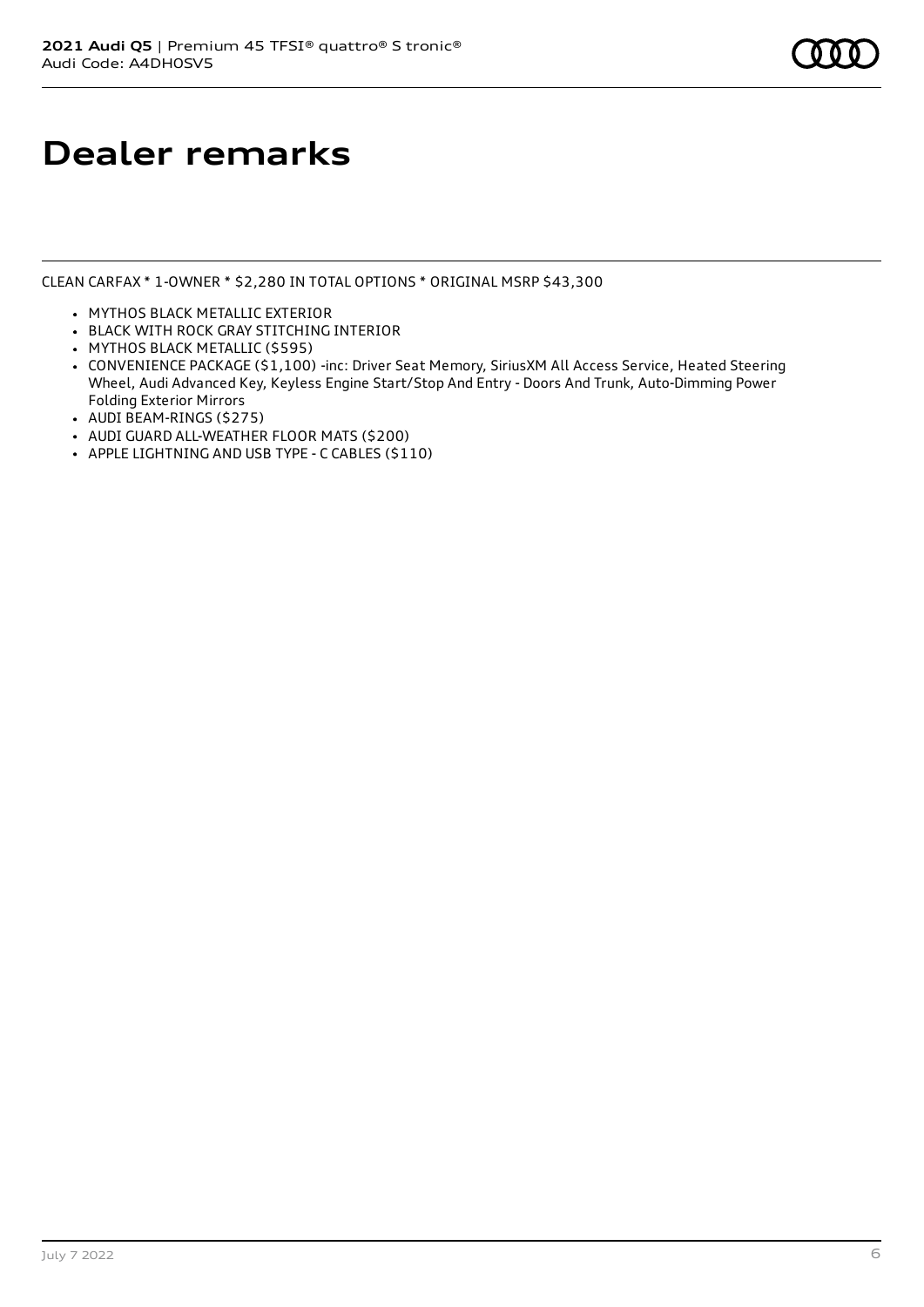## **Dealer remarks**

CLEAN CARFAX \* 1-OWNER \* \$2,280 IN TOTAL OPTIONS \* ORIGINAL MSRP \$43,300

- MYTHOS BLACK METALLIC EXTERIOR
- BLACK WITH ROCK GRAY STITCHING INTERIOR
- MYTHOS BLACK METALLIC (\$595)
- CONVENIENCE PACKAGE (\$1,100) -inc: Driver Seat Memory, SiriusXM All Access Service, Heated Steering Wheel, Audi Advanced Key, Keyless Engine Start/Stop And Entry - Doors And Trunk, Auto-Dimming Power Folding Exterior Mirrors
- AUDI BEAM-RINGS (\$275)
- AUDI GUARD ALL-WEATHER FLOOR MATS (\$200)
- APPLE LIGHTNING AND USB TYPE C CABLES (\$110)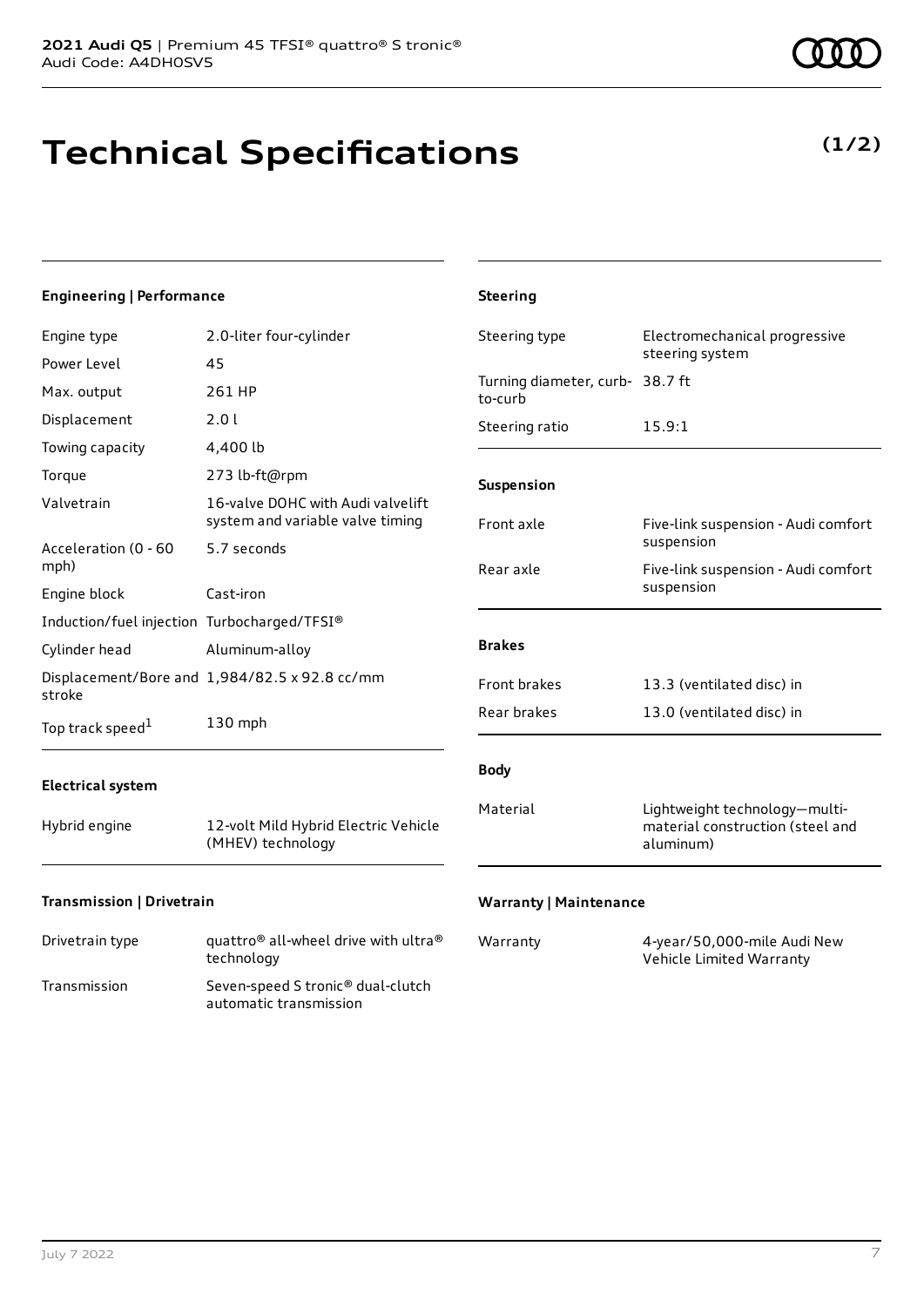# **Technical Specifications**

**(1/2)**

| <b>Engineering   Performance</b>            |                                                                       | <b>Steering</b>                 |                                                                                |
|---------------------------------------------|-----------------------------------------------------------------------|---------------------------------|--------------------------------------------------------------------------------|
| Engine type                                 | 2.0-liter four-cylinder                                               | Steering type                   | Electromechanical progressive<br>steering system                               |
| Power Level                                 | 45                                                                    | Turning diameter, curb- 38.7 ft |                                                                                |
| Max. output                                 | 261 HP                                                                | to-curb                         |                                                                                |
| Displacement                                | 2.0 l                                                                 | Steering ratio                  | 15.9:1                                                                         |
| Towing capacity                             | 4,400 lb                                                              |                                 |                                                                                |
| Torque                                      | 273 lb-ft@rpm                                                         | Suspension                      |                                                                                |
| Valvetrain                                  | 16-valve DOHC with Audi valvelift<br>system and variable valve timing | Front axle                      | Five-link suspension - Audi comfort                                            |
| Acceleration (0 - 60<br>mph)                | 5.7 seconds                                                           | Rear axle                       | suspension<br>Five-link suspension - Audi comfort                              |
| Engine block                                | Cast-iron                                                             |                                 | suspension                                                                     |
| Induction/fuel injection Turbocharged/TFSI® |                                                                       |                                 |                                                                                |
| Cylinder head                               | Aluminum-alloy                                                        | <b>Brakes</b>                   |                                                                                |
| stroke                                      | Displacement/Bore and 1,984/82.5 x 92.8 cc/mm                         | Front brakes                    | 13.3 (ventilated disc) in                                                      |
| Top track speed <sup>1</sup>                | 130 mph                                                               | Rear brakes                     | 13.0 (ventilated disc) in                                                      |
| <b>Electrical system</b>                    |                                                                       | <b>Body</b>                     |                                                                                |
| Hybrid engine                               | 12-volt Mild Hybrid Electric Vehicle<br>(MHEV) technology             | Material                        | Lightweight technology-multi-<br>material construction (steel and<br>aluminum) |
| Transmission   Drivetrain                   |                                                                       | <b>Warranty   Maintenance</b>   |                                                                                |

| Drivetrain type | quattro <sup>®</sup> all-wheel drive with ultra <sup>®</sup><br>technology |
|-----------------|----------------------------------------------------------------------------|
| Transmission    | Seven-speed S tronic <sup>®</sup> dual-clutch<br>automatic transmission    |

| Warranty | 4-year/50,000-mile Audi New |
|----------|-----------------------------|
|          | Vehicle Limited Warranty    |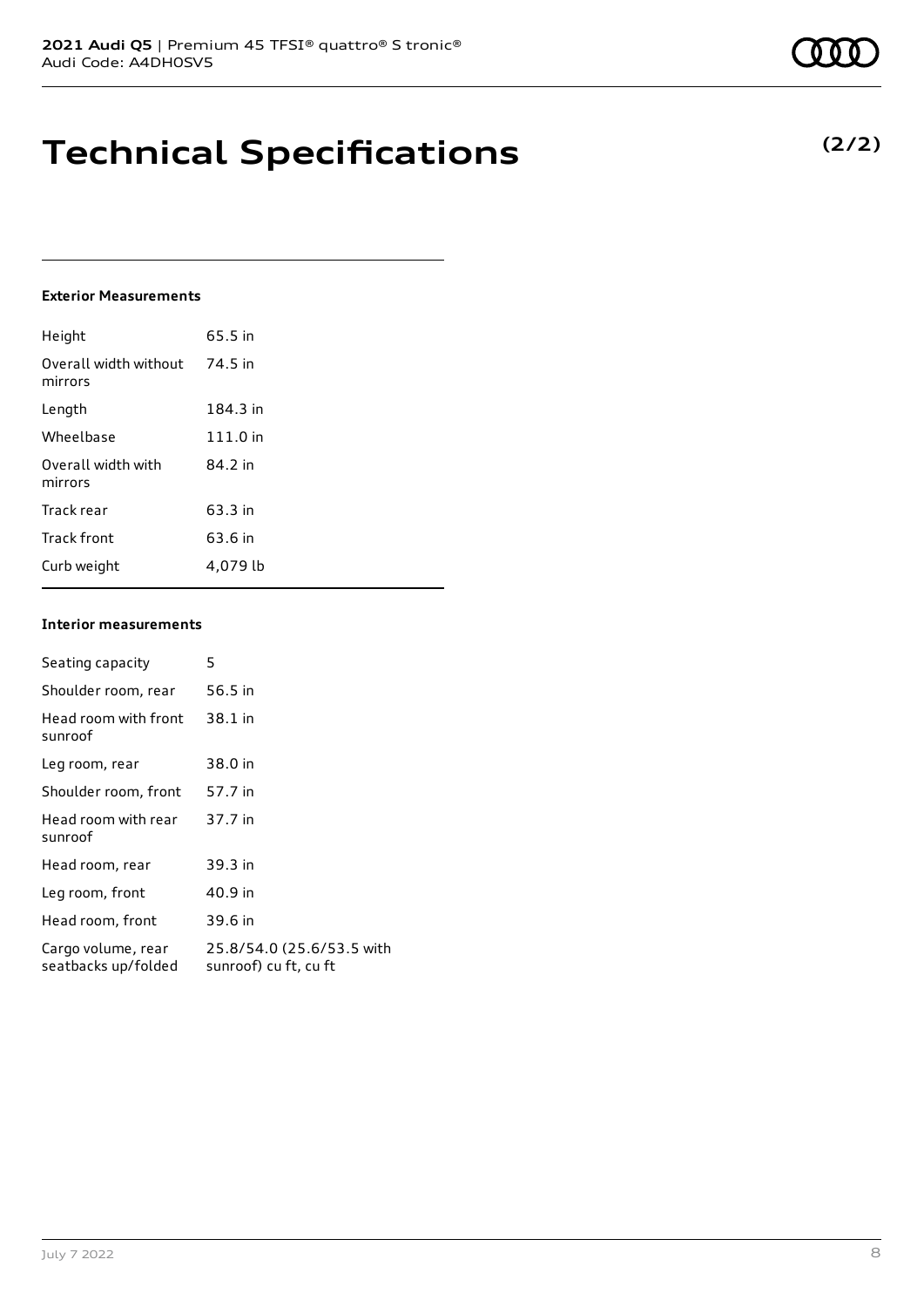## **Technical Specifications**

#### **Exterior Measurements**

| Height                           | 65.5 in  |
|----------------------------------|----------|
| Overall width without<br>mirrors | 74.5 in  |
| Length                           | 184.3 in |
| Wheelbase                        | 111.0 in |
| Overall width with<br>mirrors    | 84.2 in  |
| Track rear                       | 63.3 in  |
| Track front                      | 63.6 in  |
| Curb weight                      | 4.079 lb |

#### **Interior measurements**

| Seating capacity                          | 5                                                  |
|-------------------------------------------|----------------------------------------------------|
| Shoulder room, rear                       | 56.5 in                                            |
| Head room with front<br>sunroof           | 38.1 in                                            |
| Leg room, rear                            | 38.0 in                                            |
| Shoulder room, front                      | 57.7 in                                            |
| Head room with rear<br>sunroof            | 37.7 in                                            |
| Head room, rear                           | 39.3 in                                            |
| Leg room, front                           | 40.9 in                                            |
| Head room, front                          | 39.6 in                                            |
| Cargo volume, rear<br>seatbacks up/folded | 25.8/54.0 (25.6/53.5 with<br>sunroof) cu ft, cu ft |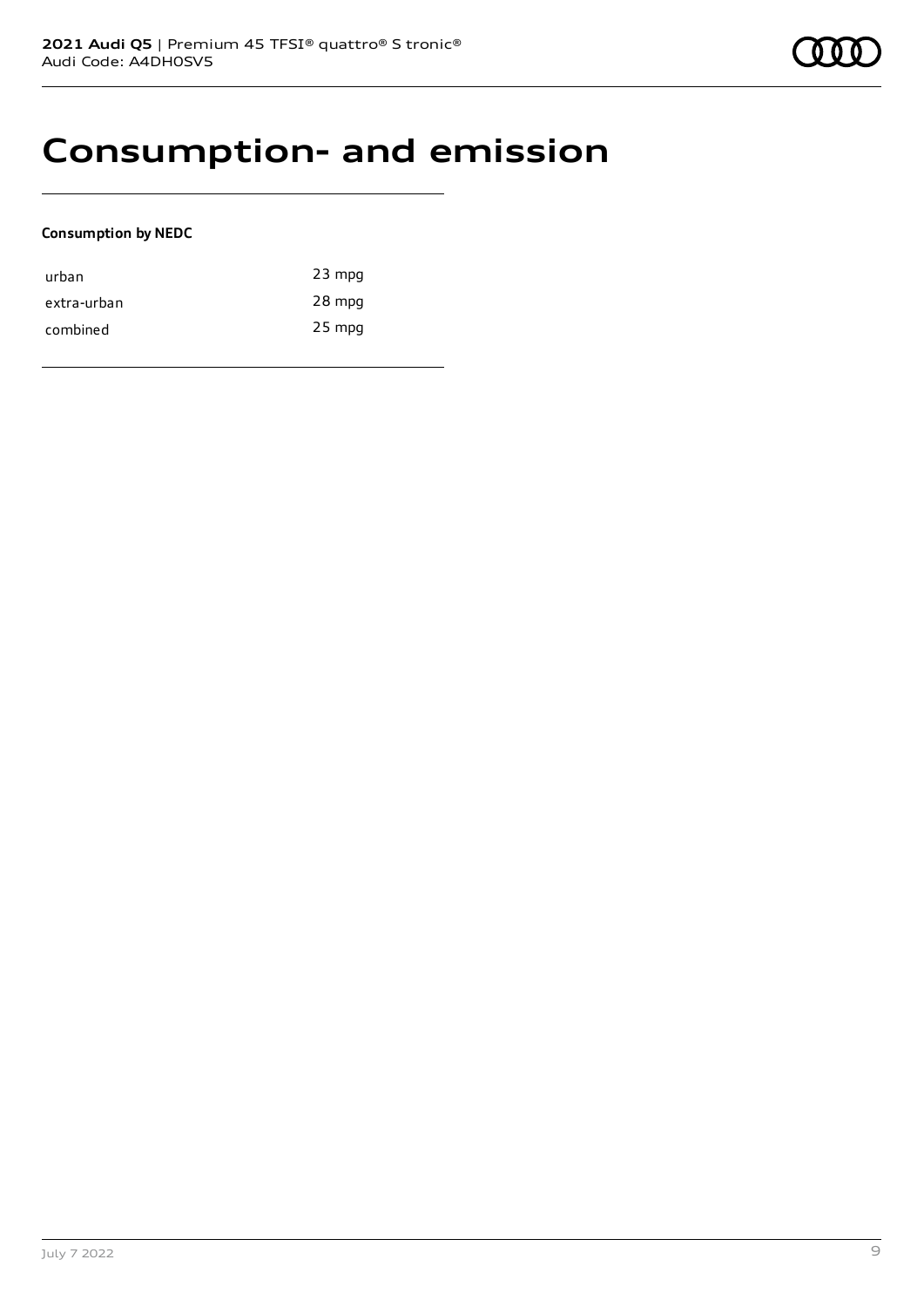### **Consumption- and emission**

#### **Consumption by NEDC**

| urban       | $23$ mpg |
|-------------|----------|
| extra-urban | 28 mpg   |
| combined    | $25$ mpg |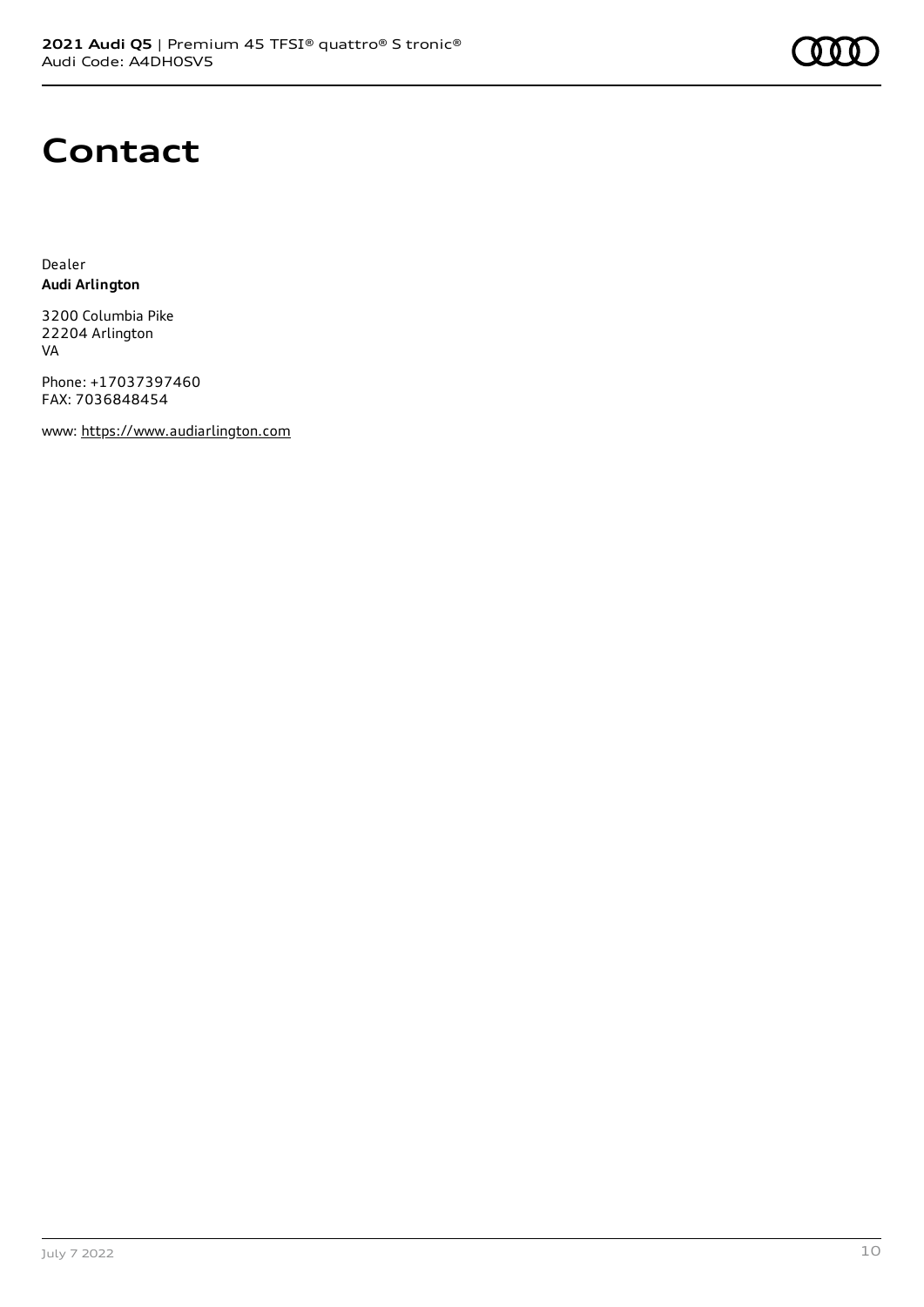

### **Contact**

Dealer **Audi Arlington**

3200 Columbia Pike 22204 Arlington VA

Phone: +17037397460 FAX: 7036848454

www: [https://www.audiarlington.com](https://www.audiarlington.com/)